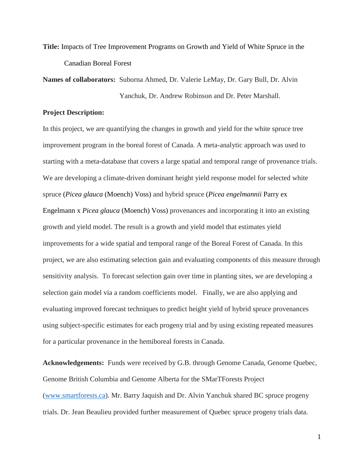**Title:** Impacts of Tree Improvement Programs on Growth and Yield of White Spruce in the Canadian Boreal Forest

**Names of collaborators:** Suborna Ahmed, Dr. Valerie LeMay, Dr. Gary Bull, Dr. Alvin Yanchuk, Dr. Andrew Robinson and Dr. Peter Marshall.

## **Project Description:**

In this project, we are quantifying the changes in growth and yield for the white spruce tree improvement program in the boreal forest of Canada. A meta-analytic approach was used to starting with a meta-database that covers a large spatial and temporal range of provenance trials. We are developing a climate-driven dominant height yield response model for selected white spruce (*Picea glauca* (Moench) Voss) and hybrid spruce (*Picea engelmannii* Parry ex Engelmann x *Picea glauca* (Moench) Voss) provenances and incorporating it into an existing growth and yield model. The result is a growth and yield model that estimates yield improvements for a wide spatial and temporal range of the Boreal Forest of Canada. In this project, we are also estimating selection gain and evaluating components of this measure through sensitivity analysis. To forecast selection gain over time in planting sites, we are developing a selection gain model via a random coefficients model. Finally, we are also applying and evaluating improved forecast techniques to predict height yield of hybrid spruce provenances using subject-specific estimates for each progeny trial and by using existing repeated measures for a particular provenance in the hemiboreal forests in Canada.

**Acknowledgements:** Funds were received by G.B. through Genome Canada, Genome Quebec, Genome British Columbia and Genome Alberta for the SMarTForests Project [\(www.smartforests.ca\)](http://www.smartforests.ca/). Mr. Barry Jaquish and Dr. Alvin Yanchuk shared BC spruce progeny trials. Dr. Jean Beaulieu provided further measurement of Quebec spruce progeny trials data.

1